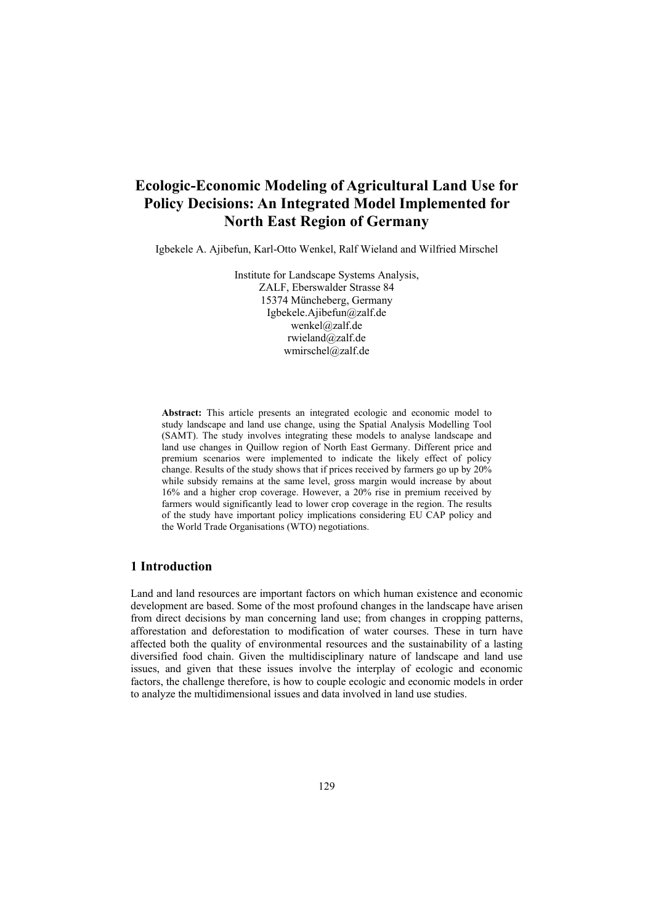## **Ecologic-Economic Modeling of Agricultural Land Use for Policy Decisions: An Integrated Model Implemented for North East Region of Germany**

Igbekele A. Ajibefun, Karl-Otto Wenkel, Ralf Wieland and Wilfried Mirschel

Institute for Landscape Systems Analysis, ZALF, Eberswalder Strasse 84 15374 Müncheberg, Germany Igbekele.Ajibefun@zalf.de wenkel@zalf.de rwieland@zalf.de wmirschel@zalf.de

**Abstract:** This article presents an integrated ecologic and economic model to study landscape and land use change, using the Spatial Analysis Modelling Tool (SAMT). The study involves integrating these models to analyse landscape and land use changes in Quillow region of North East Germany. Different price and premium scenarios were implemented to indicate the likely effect of policy change. Results of the study shows that if prices received by farmers go up by 20% while subsidy remains at the same level, gross margin would increase by about 16% and a higher crop coverage. However, a 20% rise in premium received by farmers would significantly lead to lower crop coverage in the region. The results of the study have important policy implications considering EU CAP policy and the World Trade Organisations (WTO) negotiations.

### **1 Introduction**

Land and land resources are important factors on which human existence and economic development are based. Some of the most profound changes in the landscape have arisen from direct decisions by man concerning land use; from changes in cropping patterns, afforestation and deforestation to modification of water courses. These in turn have affected both the quality of environmental resources and the sustainability of a lasting diversified food chain. Given the multidisciplinary nature of landscape and land use issues, and given that these issues involve the interplay of ecologic and economic factors, the challenge therefore, is how to couple ecologic and economic models in order to analyze the multidimensional issues and data involved in land use studies.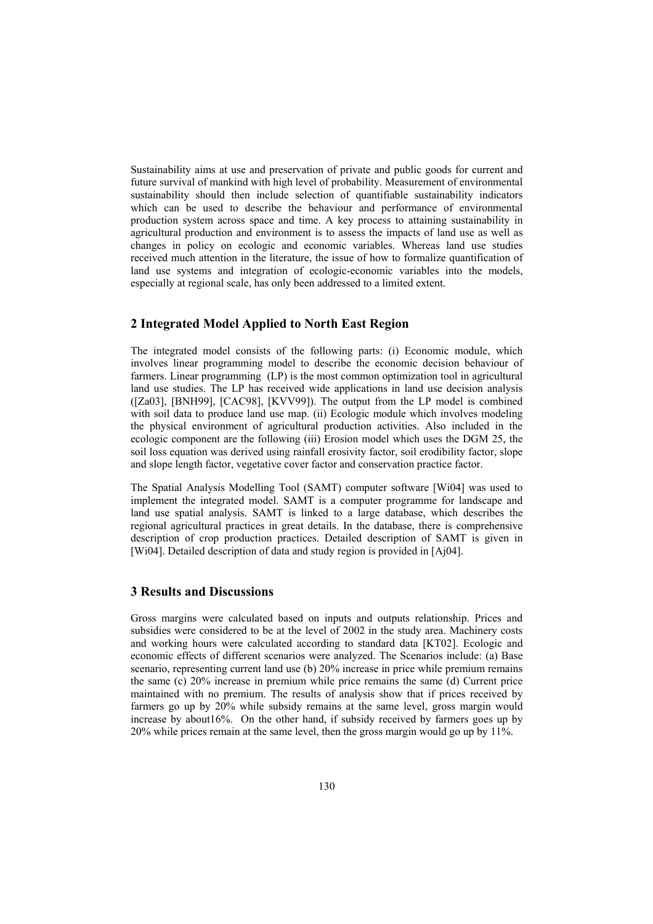Sustainability aims at use and preservation of private and public goods for current and future survival of mankind with high level of probability. Measurement of environmental sustainability should then include selection of quantifiable sustainability indicators which can be used to describe the behaviour and performance of environmental production system across space and time. A key process to attaining sustainability in agricultural production and environment is to assess the impacts of land use as well as changes in policy on ecologic and economic variables. Whereas land use studies received much attention in the literature, the issue of how to formalize quantification of land use systems and integration of ecologic-economic variables into the models, especially at regional scale, has only been addressed to a limited extent.

## **2 Integrated Model Applied to North East Region**

The integrated model consists of the following parts: (i) Economic module, which involves linear programming model to describe the economic decision behaviour of farmers. Linear programming (LP) is the most common optimization tool in agricultural land use studies. The LP has received wide applications in land use decision analysis ([Za03], [BNH99], [CAC98], [KVV99]). The output from the LP model is combined with soil data to produce land use map. (ii) Ecologic module which involves modeling the physical environment of agricultural production activities. Also included in the ecologic component are the following (iii) Erosion model which uses the DGM 25, the soil loss equation was derived using rainfall erosivity factor, soil erodibility factor, slope and slope length factor, vegetative cover factor and conservation practice factor.

The Spatial Analysis Modelling Tool (SAMT) computer software [Wi04] was used to implement the integrated model. SAMT is a computer programme for landscape and land use spatial analysis. SAMT is linked to a large database, which describes the regional agricultural practices in great details. In the database, there is comprehensive description of crop production practices. Detailed description of SAMT is given in [Wi04]. Detailed description of data and study region is provided in [Aj04].

#### **3 Results and Discussions**

Gross margins were calculated based on inputs and outputs relationship. Prices and subsidies were considered to be at the level of 2002 in the study area. Machinery costs and working hours were calculated according to standard data [KT02]. Ecologic and economic effects of different scenarios were analyzed. The Scenarios include: (a) Base scenario, representing current land use (b) 20% increase in price while premium remains the same (c) 20% increase in premium while price remains the same (d) Current price maintained with no premium. The results of analysis show that if prices received by farmers go up by 20% while subsidy remains at the same level, gross margin would increase by about16%. On the other hand, if subsidy received by farmers goes up by 20% while prices remain at the same level, then the gross margin would go up by 11%.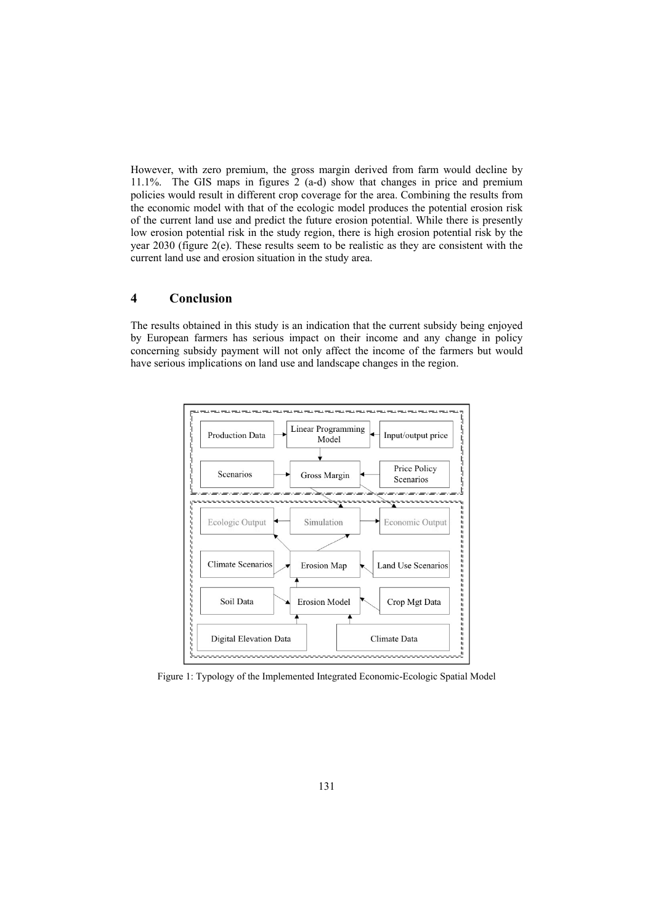However, with zero premium, the gross margin derived from farm would decline by 11.1%. The GIS maps in figures 2 (a-d) show that changes in price and premium policies would result in different crop coverage for the area. Combining the results from the economic model with that of the ecologic model produces the potential erosion risk of the current land use and predict the future erosion potential. While there is presently low erosion potential risk in the study region, there is high erosion potential risk by the year 2030 (figure 2(e). These results seem to be realistic as they are consistent with the current land use and erosion situation in the study area.

## **4 Conclusion**

The results obtained in this study is an indication that the current subsidy being enjoyed by European farmers has serious impact on their income and any change in policy concerning subsidy payment will not only affect the income of the farmers but would have serious implications on land use and landscape changes in the region.



Figure 1: Typology of the Implemented Integrated Economic-Ecologic Spatial Model